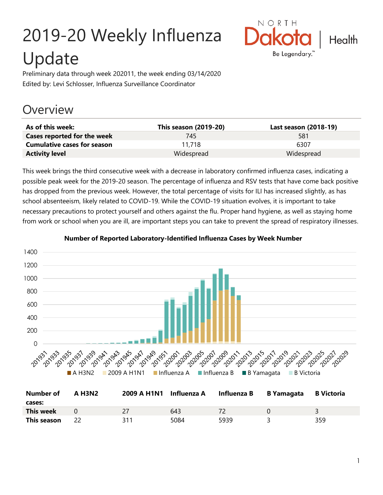# 2019-20 Weekly Influenza Update



Preliminary data through week 202011, the week ending 03/14/2020 Edited by: Levi Schlosser, Influenza Surveillance Coordinator

## **Overview**

| As of this week:                   | This season (2019-20) | Last season (2018-19) |
|------------------------------------|-----------------------|-----------------------|
| Cases reported for the week        | 745.                  | 581                   |
| <b>Cumulative cases for season</b> | 11.718                | 6307                  |
| <b>Activity level</b>              | Widespread            | Widespread            |

This week brings the third consecutive week with a decrease in laboratory confirmed influenza cases, indicating a possible peak week for the 2019-20 season. The percentage of influenza and RSV tests that have come back positive has dropped from the previous week. However, the total percentage of visits for ILI has increased slightly, as has school absenteeism, likely related to COVID-19. While the COVID-19 situation evolves, it is important to take necessary precautions to protect yourself and others against the flu. Proper hand hygiene, as well as staying home from work or school when you are ill, are important steps you can take to prevent the spread of respiratory illnesses.



#### **Number of Reported Laboratory-Identified Influenza Cases by Week Number**

| Number of<br>cases: | <b>A H3N2</b> | 2009 A H1N1 Influenza A |      | Influenza B | <b>B</b> Yamagata | B Victoria |
|---------------------|---------------|-------------------------|------|-------------|-------------------|------------|
| <b>This week</b>    |               |                         | 643  |             |                   |            |
| This season         |               | 311                     | 5084 | 5939        |                   | 359        |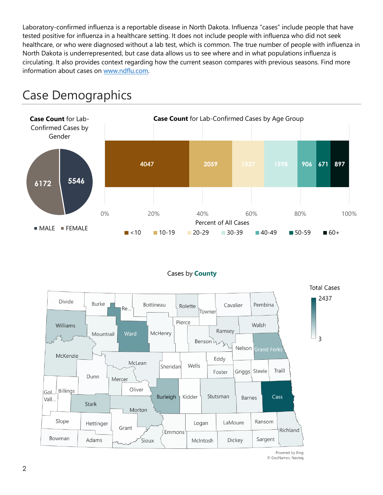Laboratory-confirmed influenza is a reportable disease in North Dakota. Influenza "cases" include people that have tested positive for influenza in a healthcare setting. It does not include people with influenza who did not seek healthcare, or who were diagnosed without a lab test, which is common. The true number of people with influenza in North Dakota is underrepresented, but case data allows us to see where and in what populations influenza is circulating. It also provides context regarding how the current season compares with previous seasons. Find more information about cases on [www.ndflu.com.](file://///nd.gov/doh/DOH-DATA/MSS/DC/PROGRAM/IMMUNE/Immunize/Influenza/Inf18-19/Surveillance/Weekly%20Summaries/www.ndflu.com)







Powered by Bing © GeoNames, Navteq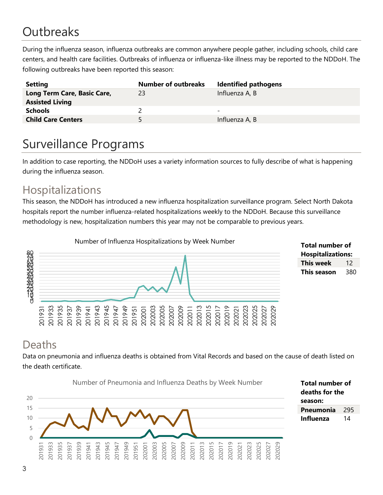# **Outbreaks**

During the influenza season, influenza outbreaks are common anywhere people gather, including schools, child care centers, and health care facilities. Outbreaks of influenza or influenza-like illness may be reported to the NDDoH. The following outbreaks have been reported this season:

| <b>Setting</b>                                        | <b>Number of outbreaks</b> | <b>Identified pathogens</b> |
|-------------------------------------------------------|----------------------------|-----------------------------|
| Long Term Care, Basic Care,<br><b>Assisted Living</b> | 23                         | Influenza A, B              |
| <b>Schools</b>                                        |                            | -                           |
| <b>Child Care Centers</b>                             | 5.                         | Influenza A, B              |

# Surveillance Programs

In addition to case reporting, the NDDoH uses a variety information sources to fully describe of what is happening during the influenza season.

#### Hospitalizations

This season, the NDDoH has introduced a new influenza hospitalization surveillance program. Select North Dakota hospitals report the number influenza-related hospitalizations weekly to the NDDoH. Because this surveillance methodology is new, hospitalization numbers this year may not be comparable to previous years.



#### **Total number of Hospitalizations: This week** 12 **This season** 380

### Deaths

Data on pneumonia and influenza deaths is obtained from Vital Records and based on the cause of death listed on the death certificate.



**Total number of deaths for the season: Pneumonia** 295 **Influenza** 14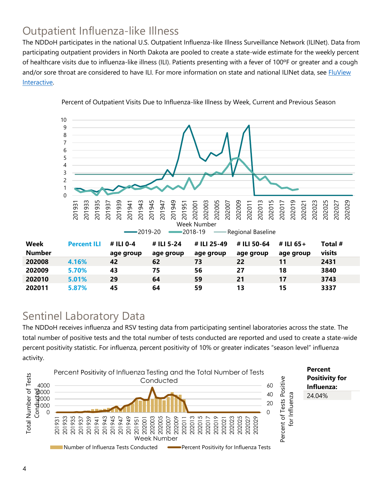### Outpatient Influenza-like Illness

The NDDoH participates in the national U.S. Outpatient Influenza-like Illness Surveillance Network (ILINet). Data from participating outpatient providers in North Dakota are pooled to create a state-wide estimate for the weekly percent of healthcare visits due to influenza-like illness (ILI). Patients presenting with a fever of 100ºF or greater and a cough and/or sore throat are considered to have ILI. For more information on state and national ILINet data, see **FluView** [Interactive.](https://gis.cdc.gov/grasp/fluview/fluportaldashboard.html)



Percent of Outpatient Visits Due to Influenza-like Illness by Week, Current and Previous Season

#### Sentinel Laboratory Data

The NDDoH receives influenza and RSV testing data from participating sentinel laboratories across the state. The total number of positive tests and the total number of tests conducted are reported and used to create a state-wide percent positivity statistic. For influenza, percent positivity of 10% or greater indicates "season level" influenza activity.

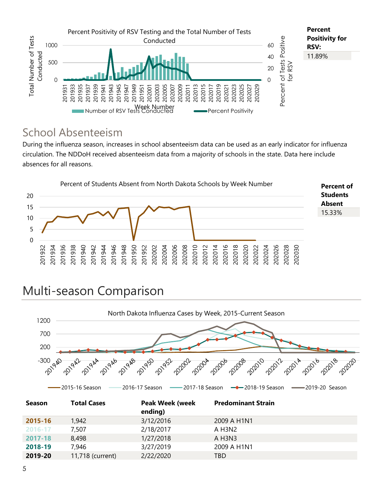

#### School Absenteeism

During the influenza season, increases in school absenteeism data can be used as an early indicator for influenza circulation. The NDDoH received absenteeism data from a majority of schools in the state. Data here include absences for all reasons.



# Multi-season Comparison